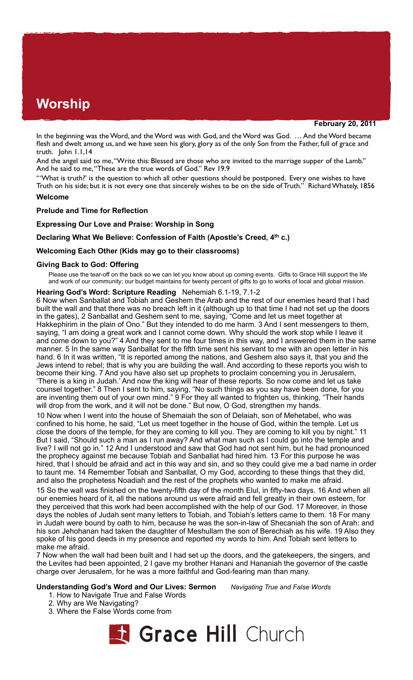# **Worship**

**February 20, 2011**

In the beginning was the Word, and the Word was with God, and the Word was God. … And the Word became flesh and dwelt among us, and we have seen his glory, glory as of the only Son from the Father, full of grace and truth. John 1.1,14

And the angel said to me, "Write this: Blessed are those who are invited to the marriage supper of the Lamb." And he said to me, "These are the true words of God." Rev 19.9

"'What is truth?' is the question to which all other questions should be postponed. Every one wishes to have Truth on his side; but it is not every one that sincerely wishes to be on the side of Truth." Richard Whately, 1856

# **Welcome**

## **Prelude and Time for Reflection**

# **Expressing Our Love and Praise: Worship in Song**

## **Declaring What We Believe: Confession of Faith (Apostle's Creed, 4th c.)**

## **Welcoming Each Other (Kids may go to their classrooms)**

## **Giving Back to God: Offering**

Please use the tear-off on the back so we can let you know about up coming events. Gifts to Grace Hill support the life and work of our community; our budget maintains for twenty percent of gifts to go to works of local and global mission.

#### **Hearing God's Word: Scripture Reading** Nehemiah 6.1-19, 7.1-2

6 Now when Sanballat and Tobiah and Geshem the Arab and the rest of our enemies heard that I had built the wall and that there was no breach left in it (although up to that time I had not set up the doors in the gates), 2 Sanballat and Geshem sent to me, saying, "Come and let us meet together at Hakkephirim in the plain of Ono." But they intended to do me harm. 3 And I sent messengers to them, saying, "I am doing a great work and I cannot come down. Why should the work stop while I leave it and come down to you?" 4 And they sent to me four times in this way, and I answered them in the same manner. 5 In the same way Sanballat for the fifth time sent his servant to me with an open letter in his hand. 6 In it was written, "It is reported among the nations, and Geshem also says it, that you and the Jews intend to rebel; that is why you are building the wall. And according to these reports you wish to become their king. 7 And you have also set up prophets to proclaim concerning you in Jerusalem, 'There is a king in Judah.' And now the king will hear of these reports. So now come and let us take counsel together." 8 Then I sent to him, saying, "No such things as you say have been done, for you are inventing them out of your own mind." 9 For they all wanted to frighten us, thinking, "Their hands will drop from the work, and it will not be done." But now, O God, strengthen my hands.

10 Now when I went into the house of Shemaiah the son of Delaiah, son of Mehetabel, who was confined to his home, he said, "Let us meet together in the house of God, within the temple. Let us close the doors of the temple, for they are coming to kill you. They are coming to kill you by night." 11 But I said, "Should such a man as I run away? And what man such as I could go into the temple and live? I will not go in." 12 And I understood and saw that God had not sent him, but he had pronounced the prophecy against me because Tobiah and Sanballat had hired him. 13 For this purpose he was hired, that I should be afraid and act in this way and sin, and so they could give me a bad name in order to taunt me. 14 Remember Tobiah and Sanballat, O my God, according to these things that they did, and also the prophetess Noadiah and the rest of the prophets who wanted to make me afraid.

15 So the wall was finished on the twenty-fifth day of the month Elul, in fifty-two days. 16 And when all our enemies heard of it, all the nations around us were afraid and fell greatly in their own esteem, for they perceived that this work had been accomplished with the help of our God. 17 Moreover, in those days the nobles of Judah sent many letters to Tobiah, and Tobiah's letters came to them. 18 For many in Judah were bound by oath to him, because he was the son-in-law of Shecaniah the son of Arah: and his son Jehohanan had taken the daughter of Meshullam the son of Berechiah as his wife. 19 Also they spoke of his good deeds in my presence and reported my words to him. And Tobiah sent letters to make me afraid.

7 Now when the wall had been built and I had set up the doors, and the gatekeepers, the singers, and the Levites had been appointed, 2 I gave my brother Hanani and Hananiah the governor of the castle charge over Jerusalem, for he was a more faithful and God-fearing man than many.

# **Understanding God's Word and Our Lives: Sermon** *Navigating True and False Words*

- 1. How to Navigate True and False Words
- 2. Why are We Navigating?
- 3. Where the False Words come from